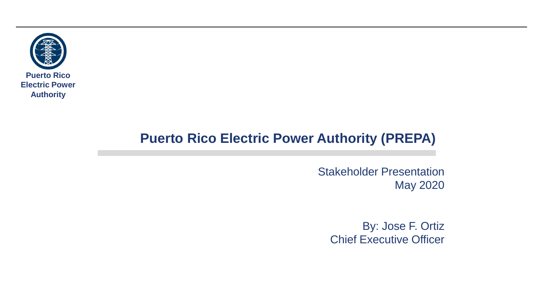

### **Puerto Rico Electric Power Authority (PREPA)**

Stakeholder Presentation May 2020

By: Jose F. Ortiz Chief Executive Officer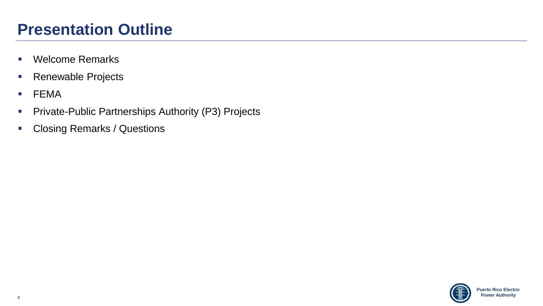## **Presentation Outline**

- Welcome Remarks
- Renewable Projects
- FEMA
- **Private-Public Partnerships Authority (P3) Projects**
- Closing Remarks / Questions

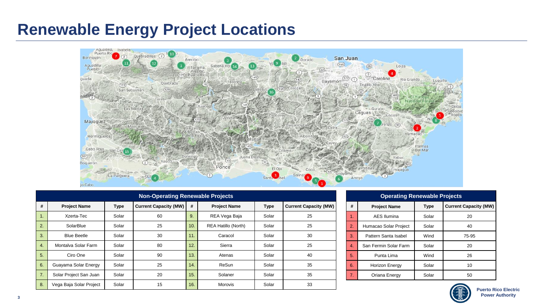## **Renewable Energy Project Locations**



| <b>Non-Operating Renewable Projects</b> |                         |             |                              |     |                            |             |                              |  |  |
|-----------------------------------------|-------------------------|-------------|------------------------------|-----|----------------------------|-------------|------------------------------|--|--|
| #                                       | <b>Project Name</b>     | <b>Type</b> | <b>Current Capacity (MW)</b> | #   | <b>Project Name</b>        | <b>Type</b> | <b>Current Capacity (MW)</b> |  |  |
| ι.                                      | Xzerta-Tec              | Solar       | 60                           | 9.  | REA Vega Baja              | Solar       | 25                           |  |  |
| 2.                                      | SolarBlue               | Solar       | 25                           | 10. | <b>REA Hatillo (North)</b> | Solar       | 25                           |  |  |
| 3.                                      | <b>Blue Beetle</b>      | Solar       | 30                           | 11. | Caracol                    | Solar       | 30                           |  |  |
| 4.                                      | Montalva Solar Farm     | Solar       | 80                           | 12. | Sierra                     | Solar       | 25                           |  |  |
| 5.                                      | Ciro One                | Solar       | 90                           | 13. | Atenas                     | Solar       | 40                           |  |  |
| 6.                                      | Guayama Solar Energy    | Solar       | 25                           | 14. | ReSun                      | Solar       | 35                           |  |  |
| 7.                                      | Solar Project San Juan  | Solar       | 20                           | 15. | Solaner                    | Solar       | 35                           |  |  |
| 8.                                      | Vega Baja Solar Project | Solar       | 15                           | 16. | Morovis                    | Solar       | 33                           |  |  |

|    | <b>Operating Renewable Projects</b> |             |                              |  |  |  |  |  |
|----|-------------------------------------|-------------|------------------------------|--|--|--|--|--|
| #  | <b>Project Name</b>                 | <b>Type</b> | <b>Current Capacity (MW)</b> |  |  |  |  |  |
| 1. | <b>AES Ilumina</b>                  | Solar       | 20                           |  |  |  |  |  |
| 2. | Humacao Solar Project               | Solar       | 40                           |  |  |  |  |  |
| 3. | Pattern Santa Isabel                | Wind        | 75-95                        |  |  |  |  |  |
| 4. | San Fermin Solar Farm               | Solar       | 20                           |  |  |  |  |  |
| 5. | Punta Lima                          | Wind        | 26                           |  |  |  |  |  |
| 6. | <b>Horizon Energy</b>               | Solar       | 10                           |  |  |  |  |  |
| 7. | Oriana Energy                       | Solar       | 50                           |  |  |  |  |  |

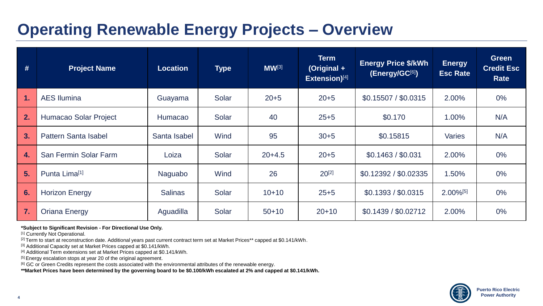## **Operating Renewable Energy Projects – Overview**

| #  | <b>Project Name</b>         | <b>Location</b> | <b>Type</b> | $MW^{[3]}$ | <b>Term</b><br>(Original +<br>Extension)[4] | <b>Energy Price \$/kWh</b><br>(Energy/GC[6]) | <b>Energy</b><br><b>Esc Rate</b> | <b>Green</b><br><b>Credit Esc</b><br>Rate |
|----|-----------------------------|-----------------|-------------|------------|---------------------------------------------|----------------------------------------------|----------------------------------|-------------------------------------------|
| d, | <b>AES Ilumina</b>          | Guayama         | Solar       | $20 + 5$   | $20 + 5$                                    | \$0.15507 / \$0.0315                         | 2.00%                            | $0\%$                                     |
| 2. | Humacao Solar Project       | Humacao         | Solar       | 40         | $25 + 5$                                    | \$0.170                                      | 1.00%                            | N/A                                       |
| 3. | <b>Pattern Santa Isabel</b> | Santa Isabel    | Wind        | 95         | $30 + 5$                                    | \$0.15815                                    | <b>Varies</b>                    | N/A                                       |
| 4. | San Fermin Solar Farm       | Loiza           | Solar       | $20+4.5$   | $20 + 5$                                    | \$0.1463 / \$0.031                           | 2.00%                            | $0\%$                                     |
| 5. | Punta Lima <sup>[1]</sup>   | Naguabo         | Wind        | 26         | $20^{[2]}$                                  | \$0.12392 / \$0.02335                        | 1.50%                            | $0\%$                                     |
| 6. | <b>Horizon Energy</b>       | <b>Salinas</b>  | Solar       | $10+10$    | $25 + 5$                                    | \$0.1393 / \$0.0315                          | $2.00\%^{[5]}$                   | $0\%$                                     |
| 7. | <b>Oriana Energy</b>        | Aguadilla       | Solar       | $50+10$    | $20+10$                                     | \$0.1439 / \$0.02712                         | 2.00%                            | $0\%$                                     |

**\*Subject to Significant Revision - For Directional Use Only.**

[1] Currently Not Operational.

<sup>[2]</sup> Term to start at reconstruction date. Additional years past current contract term set at Market Prices\*\* capped at \$0.141/kWh.

[3] Additional Capacity set at Market Prices capped at \$0.141/kWh.

[4] Additional Term extensions set at Market Prices capped at \$0.141/kWh.

[5] Energy escalation stops at year 20 of the original agreement.

<sup>[6]</sup> GC or Green Credits represent the costs associated with the environmental attributes of the renewable energy.

**\*\*Market Prices have been determined by the governing board to be \$0.100/kWh escalated at 2% and capped at \$0.141/kWh.**

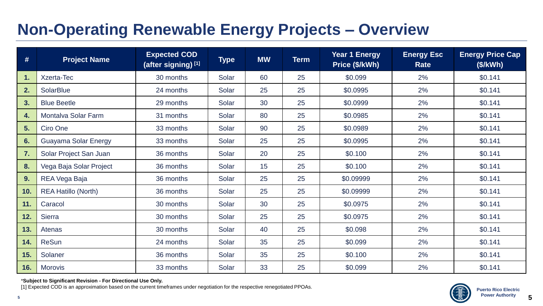# **Non-Operating Renewable Energy Projects – Overview**

| #   | <b>Project Name</b>        | <b>Expected COD</b><br>(after signing) [1] | <b>Type</b> | <b>MW</b> | <b>Term</b> | <b>Year 1 Energy</b><br>Price (\$/kWh) | <b>Energy Esc</b><br>Rate | <b>Energy Price Cap</b><br>(\$/kWh) |
|-----|----------------------------|--------------------------------------------|-------------|-----------|-------------|----------------------------------------|---------------------------|-------------------------------------|
| 1.  | <b>Xzerta-Tec</b>          | 30 months                                  | Solar       | 60        | 25          | \$0.099                                | 2%                        | \$0.141                             |
| 2.  | <b>SolarBlue</b>           | 24 months                                  | Solar       | 25        | 25          | \$0.0995                               | 2%                        | \$0.141                             |
| 3.  | <b>Blue Beetle</b>         | 29 months                                  | Solar       | 30        | 25          | \$0.0999                               | 2%                        | \$0.141                             |
| 4.  | Montalva Solar Farm        | 31 months                                  | Solar       | 80        | 25          | \$0.0985                               | 2%                        | \$0.141                             |
| 5.  | Ciro One                   | 33 months                                  | Solar       | 90        | 25          | \$0.0989                               | 2%                        | \$0.141                             |
| 6.  | Guayama Solar Energy       | 33 months                                  | Solar       | 25        | 25          | \$0.0995                               | 2%                        | \$0.141                             |
| 7.  | Solar Project San Juan     | 36 months                                  | Solar       | 20        | 25          | \$0.100                                | 2%                        | \$0.141                             |
| 8.  | Vega Baja Solar Project    | 36 months                                  | Solar       | 15        | 25          | \$0.100                                | 2%                        | \$0.141                             |
| 9.  | REA Vega Baja              | 36 months                                  | Solar       | 25        | 25          | \$0.09999                              | 2%                        | \$0.141                             |
| 10. | <b>REA Hatillo (North)</b> | 36 months                                  | Solar       | 25        | 25          | \$0.09999                              | 2%                        | \$0.141                             |
| 11. | Caracol                    | 30 months                                  | Solar       | 30        | 25          | \$0.0975                               | 2%                        | \$0.141                             |
| 12. | <b>Sierra</b>              | 30 months                                  | Solar       | 25        | 25          | \$0.0975                               | 2%                        | \$0.141                             |
| 13. | Atenas                     | 30 months                                  | Solar       | 40        | 25          | \$0.098                                | 2%                        | \$0.141                             |
| 14. | <b>ReSun</b>               | 24 months                                  | Solar       | 35        | 25          | \$0.099                                | 2%                        | \$0.141                             |
| 15. | Solaner                    | 36 months                                  | Solar       | 35        | 25          | \$0.100                                | 2%                        | \$0.141                             |
| 16. | <b>Morovis</b>             | 33 months                                  | Solar       | 33        | 25          | \$0.099                                | 2%                        | \$0.141                             |

\***Subject to Significant Revision - For Directional Use Only.**

[1] Expected COD is an approximation based on the current timeframes under negotiation for the respective renegotiated PPOAs.

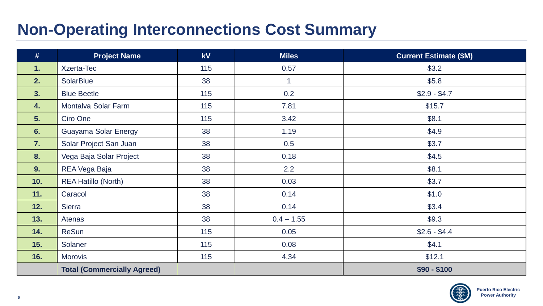# **Non-Operating Interconnections Cost Summary**

| #   | <b>Project Name</b>                | <b>kV</b> | <b>Miles</b> | <b>Current Estimate (\$M)</b> |
|-----|------------------------------------|-----------|--------------|-------------------------------|
| 1.  | Xzerta-Tec                         | 115       | 0.57         | \$3.2                         |
| 2.  | SolarBlue                          | 38        | $\mathbf{1}$ | \$5.8\$                       |
| 3.  | <b>Blue Beetle</b>                 | 115       | 0.2          | $$2.9 - $4.7$                 |
| 4.  | Montalva Solar Farm                | 115       | 7.81         | \$15.7                        |
| 5.  | Ciro One                           | 115       | 3.42         | \$8.1                         |
| 6.  | <b>Guayama Solar Energy</b>        | 38        | 1.19         | \$4.9                         |
| 7.  | Solar Project San Juan             | 38        | 0.5          | \$3.7                         |
| 8.  | Vega Baja Solar Project            | 38        | 0.18         | \$4.5                         |
| 9.  | REA Vega Baja                      | 38        | 2.2          | \$8.1                         |
| 10. | <b>REA Hatillo (North)</b>         | 38        | 0.03         | \$3.7                         |
| 11. | Caracol                            | 38        | 0.14         | \$1.0                         |
| 12. | Sierra                             | 38        | 0.14         | \$3.4                         |
| 13. | Atenas                             | 38        | $0.4 - 1.55$ | \$9.3                         |
| 14. | <b>ReSun</b>                       | 115       | 0.05         | $$2.6 - $4.4$                 |
| 15. | Solaner                            | 115       | 0.08         | \$4.1                         |
| 16. | <b>Morovis</b>                     | 115       | 4.34         | \$12.1                        |
|     | <b>Total (Commercially Agreed)</b> |           |              | $$90 - $100$                  |

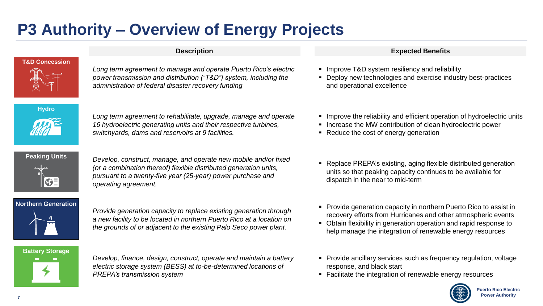# **P3 Authority – Overview of Energy Projects**



*Long term agreement to manage and operate Puerto Rico's electric power transmission and distribution ("T&D") system, including the administration of federal disaster recovery funding*

**Hydro**



*Long term agreement to rehabilitate, upgrade, manage and operate 16 hydroelectric generating units and their respective turbines, switchyards, dams and reservoirs at 9 facilities.*



**Peaking Units** *Develop, construct, manage, and operate new mobile and/or fixed (or a combination thereof) flexible distributed generation units, pursuant to a twenty-five year (25-year) power purchase and operating agreement.*

### **Northern Generation**



*Provide generation capacity to replace existing generation through a new facility to be located in northern Puerto Rico at a location on the grounds of or adjacent to the existing Palo Seco power plant.*



*Develop, finance, design, construct, operate and maintain a battery electric storage system (BESS) at to-be-determined locations of PREPA's transmission system*

### **Description Expected Benefits**

- **E** Improve T&D system resiliency and reliability
- Deploy new technologies and exercise industry best-practices and operational excellence
- Improve the reliability and efficient operation of hydroelectric units
- Increase the MW contribution of clean hydroelectric power
- Reduce the cost of energy generation
- Replace PREPA's existing, aging flexible distributed generation units so that peaking capacity continues to be available for dispatch in the near to mid-term
- Provide generation capacity in northern Puerto Rico to assist in recovery efforts from Hurricanes and other atmospheric events
- Obtain flexibility in generation operation and rapid response to help manage the integration of renewable energy resources
- Provide ancillary services such as frequency regulation, voltage response, and black start
- Facilitate the integration of renewable energy resources

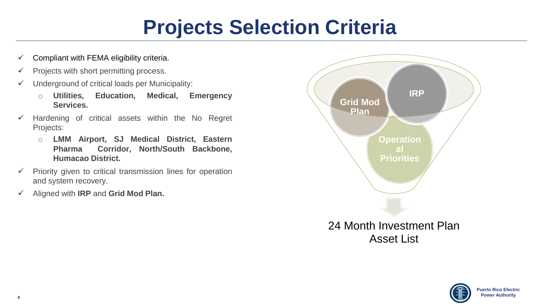# **Projects Selection Criteria**

- $\checkmark$  Compliant with FEMA eligibility criteria.
- $\checkmark$  Projects with short permitting process.
- $\checkmark$  Underground of critical loads per Municipality:
	- o **Utilities, Education, Medical, Emergency Services.**
- $\checkmark$  Hardening of critical assets within the No Regret Projects:
	- o **LMM Airport, SJ Medical District, Eastern Pharma Corridor, North/South Backbone, Humacao District.**
- $\checkmark$  Priority given to critical transmission lines for operation and system recovery.
- ✓ Aligned with **IRP** and **Grid Mod Plan.**



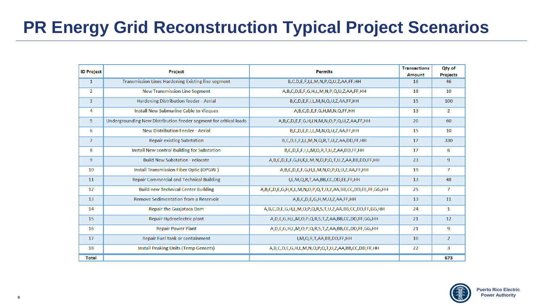# **PR Energy Grid Reconstruction Typical Project Scenarios**

| <b>ID Project</b> | Project                                                           | <b>Permits</b>                                                       | <b>Transactions</b><br>Amount | Qty of<br><b>Projects</b> |
|-------------------|-------------------------------------------------------------------|----------------------------------------------------------------------|-------------------------------|---------------------------|
| $\mathbf{1}$      | Transmission Lines Hardening Existing line segment                | B,C,D,E,F,I,L,M,N,P,Q,U,Z,AA,FF,HH                                   | 16                            | 46                        |
| $\overline{2}$    | <b>New Transmission Line Segment</b>                              | A,B,C,D,E,F,G,H,L,M,N,P,Q,U,Z,AA,FF,HH                               | 18                            | 10                        |
| 3                 | Hardening Distribution feeder - Aerial                            | B,C,D,E,F,I,L,M,N,Q,U,Z,AA,FF,HH                                     | 15                            | 100                       |
| 4                 | Install New Submarine Cable to Vieques                            | A,B,C,D,E,F,G,H,M,N,Q,FF,HH                                          | 13                            | $\overline{2}$            |
| 5.                | Undergrounding New Distribution feeder segment for critical loads | A,B,C,D,E,F,G,H,LN,M,N,O,P,Q,U,Z,AA,FF,HH                            | 20                            | 60                        |
| 6                 | <b>New Distribution Feeder - Aerial</b>                           | B,C,D,E,F,I,L,M,N,Q,U,Z,AA,FF,HH                                     | 15                            | 10                        |
| $\overline{7}$    | <b>Repair existing Substation</b>                                 | B,C,D,E,F,I,L,M,N,Q,R,T,U,Z,AA,DD,FF,HH                              | 17                            | 330                       |
| 8                 | Install New control Building for Substation                       | B,C,D,E,F,I,L,M,Q,R,T,U,Z,AA,DD,FF,HH                                | 17                            | 6                         |
| 9                 | <b>Build New Substation - relocate</b>                            | A,B,C,D,E,F,G,H,K,L,M,N,O,P,Q,T,U,Z,AA,BB,DD,FF,HH                   | 23                            | $\overline{9}$            |
| 10                | Install Transmission Fiber Optic (OPGW)                           | A,B,C,D,E,F,G,H,L,M,N,O,P,Q,U,Z,AA,FF,HH                             | 19                            | 7                         |
| 11                | <b>Repair Commercial and Technical Building</b>                   | I,L,M,Q,R,T,AA,BB,CC,DD,EE,FF,HH                                     | 13                            | 48                        |
| 12                | <b>Build new Technical Center Building</b>                        | A,B,C,D,E,G,H,K,L,M,N,O,P,Q,T,U,Z,AA,BB,CC,DD,EE,FF,GG,HH            | 25                            | $\overline{7}$            |
| 13                | Remove Sedimentation from a Reservoir                             | A,B,C,D,E,G,H,M,U,Z,AA,FF,HH                                         | 13                            | 11                        |
| 14                | <b>Repair the Guajataca Dam</b>                                   | A,B,C,D,E,G,H,L,M,O,P,Q,R,S,T,U,Z,AA,BB,CC,DD,FF,GG,HH               | 24                            | $\mathbf{1}$              |
| 15                | Repair Hydroelectric plant                                        | A, D, E, G, H, L, M, O, P, Q, R, S, T, Z, AA, BB, CC, DD, FF, GG, HH | 21                            | 12                        |
| 16                | <b>Repair Power Plant</b>                                         | A, D, E, G, H, L, M, O, P, Q, R, S, T, Z, AA, BB, CC, DD, FF, GG, HH | 21                            | 9                         |
| 17                | Repair Fuel tank or containment                                   | I, M, Q, R, T, AA, BB, DD, FF, HH                                    | 10                            | $\overline{2}$            |
| 18                | <b>Install Peaking Units (Temp Gensets)</b>                       | A,B,C,D,E,G,H,L,M,N,O,P,Q,T,U,Z,AA,BB,CC,DD,FF,HH                    | 22                            | 3                         |
| <b>Total</b>      |                                                                   |                                                                      |                               | 673                       |